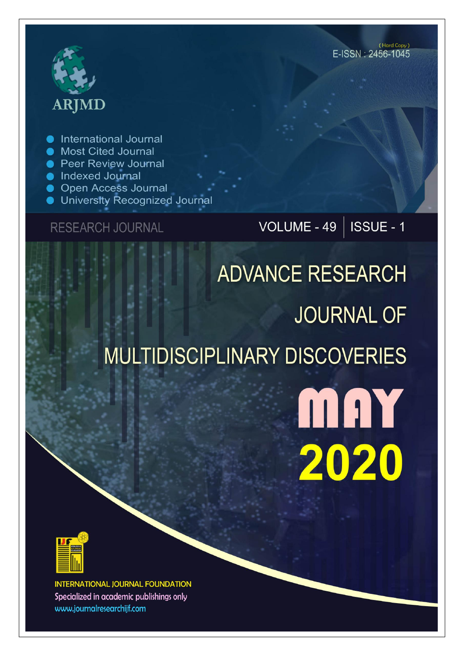# **ARJMD**

International Journal

- Most Cited Journal
- Peer Review Journal
- lndexed Journal
- Open Access Journal
- University Recognized Journal

**RESEARCH JOURNAL** 

### VOLUME - 49 | ISSUE - 1

## **ADVANCE RESEARCH JOURNAL OF** MULTIDISCIPLINARY DISCOVERIES

MAY 2020



**INTERNATIONAL JOURNAL FOUNDATION** Specialized in academic publishings only www.journalresearchijf.com

(Hard Copy) E-ISSN: 2456-1045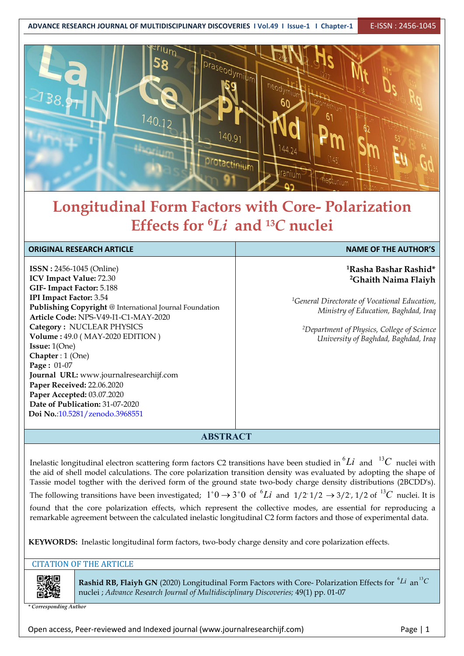**ADVANCE RESEARCH JOURNAL OF MULTIDISCIPLINARY DISCOVERIES I Vol.49 I Issue-1 I Chapter-1** E-ISSN : 2456-1045



### **Longitudinal Form Factors with Core- Polarization Effects for <sup>6</sup>***Li* **and <sup>13</sup>***C* **nuclei**

| <b>ORIGINAL RESEARCH ARTICLE</b>                                                                                                                                                                                                                                                                                                                                                                                                                                                                                                         | <b>NAME OF THE AUTHOR'S</b>                                                                                                                                                                                                                                                  |
|------------------------------------------------------------------------------------------------------------------------------------------------------------------------------------------------------------------------------------------------------------------------------------------------------------------------------------------------------------------------------------------------------------------------------------------------------------------------------------------------------------------------------------------|------------------------------------------------------------------------------------------------------------------------------------------------------------------------------------------------------------------------------------------------------------------------------|
| <b>ISSN</b> : 2456-1045 (Online)<br>ICV Impact Value: 72.30<br>GIF-Impact Factor: 5.188<br><b>IPI Impact Factor: 3.54</b><br>Publishing Copyright @ International Journal Foundation<br>Article Code: NPS-V49-I1-C1-MAY-2020<br>Category: NUCLEAR PHYSICS<br>Volume: 49.0 (MAY-2020 EDITION)<br><b>Issue:</b> $1(One)$<br>Chapter : $1$ (One)<br>Page: 01-07<br>Journal URL: www.journalresearchijf.com<br>Paper Received: 22.06.2020<br>Paper Accepted: 03.07.2020<br>Date of Publication: 31-07-2020<br>Doi No.:10.5281/zenodo.3968551 | <sup>1</sup> Rasha Bashar Rashid*<br><sup>2</sup> Ghaith Naima Flaiyh<br><sup>1</sup> General Directorate of Vocational Education,<br>Ministry of Education, Baghdad, Iraq<br><sup>2</sup> Department of Physics, College of Science<br>University of Baghdad, Baghdad, Iraq |
| $\sqrt{N}$                                                                                                                                                                                                                                                                                                                                                                                                                                                                                                                               |                                                                                                                                                                                                                                                                              |

#### **ABSTRACT**

Inelastic longitudinal electron scattering form factors C2 transitions have been studied in  ${}^{6}Li$  and  ${}^{13}C$  nuclei with  $|\;|$ the aid of shell model calculations. The core polarization transition density was evaluated by adopting the shape of Tassie model togther with the derived form of the ground state two-body charge density distributions (2BCDD's). The following transitions have been investigated;  $1^+0 \to 3^+0$  of  $^6Li$  and  $1/2$   $1/2 \to 3/2$ ,  $1/2$  of  $^{13}C$  nuclei. It is  $\vert \; \vert$ found that the core polarization effects, which represent the collective modes, are essential for reproducing a remarkable agreement between the calculated inelastic longitudinal C2 form factors andthose of experimental data.

**KEYWORDS:** Inelastic longitudinal form factors, two-body charge density and core polarization effects.

#### CITATION OF THE ARTICLE



**Rashid RB, Flaiyh GN** (2020) Longitudinal Form Factors with Core- Polarization Effects for  ${}^{6}Li$  an  ${}^{13}C$ an<sup>13</sup>C | | nuclei ; *Advance Research Journal ofMultidisciplinary Discoveries;* 49(1) pp. 01-07

*\* Corresponding Author*

Open access, Peer-reviewed and Indexed journal (www.journalresearchijf.com) Page |1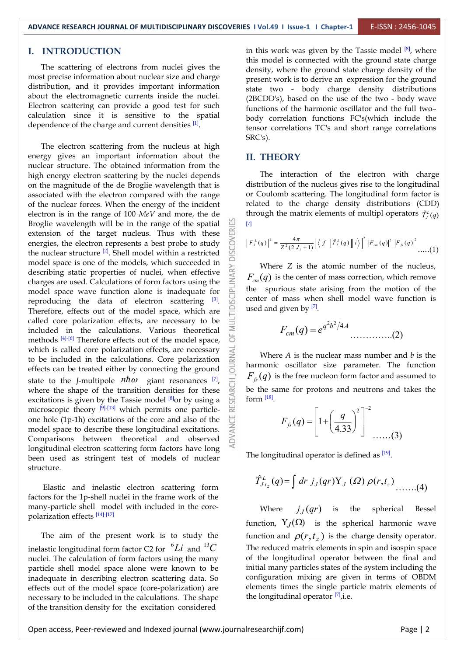#### **I. INTRODUCTION**

The scattering of electrons from nuclei gives the most precise information about nuclear size and charge distribution, and it provides important information about the electromagnetic currents inside the nuclei. Electron scattering can provide a good test for such calculation since it is sensitive to the spatial dependence of the charge and current densities  $[1]$ .

The electron scattering from the nucleus at high energy gives an important information about the nuclear structure. The obtained information from the high energy electron scattering by the nuclei depends on the magnitude of the de Broglie wavelength that is associated with the electron compared with the range of the nuclear forces. When the energy of the incident electron is in the range of 100 *MeV* and more, the de Broglie wavelength will be in the range of the spatial  $\frac{61}{100}$  extension of the target nucleus. Thus with these extension of the target nucleus. Thus with these energies, the electron represents a best probe to study the nuclear structure <sup>[2]</sup>. Shell model within a restricted  $\Box$ model space is one of the models, which succeeded in describing static properties of nuclei, when effective charges are used. Calculations of form factors using the model space wave function alone is inadequate for model space wave function alone is inadequate for reproducing the data of electron scattering  $[3]$ .  $\Box$  center of r Therefore, effects out of the model space, which are called core polarization effects. are necessary to be called core polarization effects, are necessary to be included in the calculations. Various theoretical methods  $[4]$ -[6] Therefore effects out of the model space,  $\overline{O}$ which is called core polarization effects, are necessary to be included in the calculations. Core polarization effects can be treated either by connecting the ground state to the *J*-multipole  $n\hbar\omega$  giant resonances  $\overline{z}$ ,  $\overline{z}$ ,  $\overline{f}_{\hat{x}}(q)$  is the free nucleor state to the *J*-multipole  $n\hbar\omega$  giant resonances <sup>[7]</sup>, <br>where the shape of the transition densities for these<br>excitations is given by the Tassie model <sup>[8]</sup>or by using a<br>microscopic theory <sup>[9]-[13]</sup> which permits on excitations is given by the Tassie model  $[8]$ or by using a  $\Box$  form  $[18]$ . microscopic theory  $[9]$ - $[13]$  which permits one particleone hole (1p-1h) excitations of the core and also of the model space to describe these longitudinal excitations. Comparisons between theoretical and observed longitudinal electron scattering form factors have long been used as stringent test of models of nuclear structure.

Elastic and inelastic electron scattering form factors for the 1p-shell nuclei in the frame work of the many-particle shell model with included in the core polarization effects [14]-[17]

The aim of the present work is to study the inelastic longitudinal form factor C2 for  $^{6}Li$  and  $^{13}C$ nuclei. The calculation of form factors using the many particle shell model space alone were known to be inadequate in describing electron scattering data. So effects out of the model space (core-polarization) are necessary to be included in the calculations. The shape of the transition density for the excitation considered

in this work was given by the Tassie model  $[8]$ , where  $\Box$ this model is connected with the ground state charge density, where the ground state charge density of the present work is to derive an expression for the ground state two - body charge density distributions (2BCDD's), based on the use of the two - body wave functions of the harmonic oscillator and the full two– body correlation functions FC's(which include the tensor correlations TC's and short range correlations SRC's).

#### **II. THEORY**

The interaction of the electron with charge distribution of the nucleus gives rise to the longitudinal or Coulomb scattering. The longitudinal form factor is related to the charge density distributions (CDD) through the matrix elements of multipl operators  $\hat{T}^{\iota}_{j}(q)$ *J*  $\left\{ \frac{q}{q} \right\}$ [7]

$$
\left| F_{J}^{L}(q) \right|^{2} = \frac{4\pi}{Z^{2}(2 J_{i} + 1)} \left| \left\langle f \right| \left| \hat{T}_{J}^{L}(q) \right| \left| i \right\rangle \right|^{2} \left| F_{\text{cm}}(q) \right|^{2} \left| F_{\text{fs}}(q) \right|^{2} \dots (1)
$$

Where *Z* is the atomic number of the nucleus,  $F_{cm}(q)$  is the center of mass correction, which remove the spurious state arising from the motion of the center of mass when shell model wave function is used and given by  $[7]$ .

$$
F_{cm}(q) = e^{q^2b^2/4A} \dots (2)
$$

Where *A* is the nuclear mass number and *b* is the harmonic oscillator size parameter. The function  $F_{\scriptscriptstyle f\! s}(q)$  is the free nucleon form factor and assumed to be the same for protons and neutrons and takes the form [18].

$$
F_{f_s}(q) = \left[1 + \left(\frac{q}{4.33}\right)^2\right]^{-2} \dots (3)
$$

The longitudinal operator is defined as <sup>[19]</sup>.

$$
\hat{T}_{Jt_z}^L(q) = \int dr \, j_J(qr) \mathbf{Y}_J(\Omega) \, \rho(r,t_z) \dots \dots (4)
$$

and  $^{13}C$  The reduced matrix elements in spin and isospin space Where  $j_J(qr)$  is the spherical Besse is the spherical Bessel function,  $Y_J(\Omega)$  is the spherical harmonic wave function and  $\rho(r, t_z)$  is the charge density operator. of the longitudinal operator between the final and initial many particles states of the system including the configuration mixing are given in terms of OBDM elements times the single particle matrix elements of the longitudinal operator [7], *i.e.*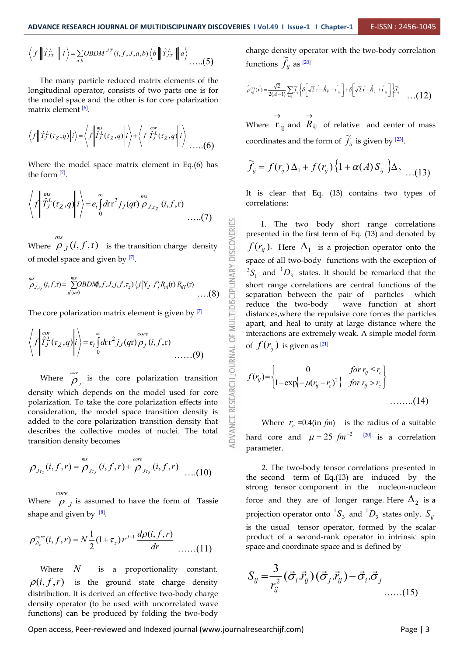RESEARCH JOURNAL OF MULTIDISCIPLINARY DISCOVERIES

$$
\langle f \| \hat{T}_{JT}^L \| i \rangle = \sum_{a,b} OBDM^{JT}(i, f, J, a, b) \langle b \| \hat{T}_{JT}^L \| a \rangle \dots (5)
$$
ch

The many particle reduced matrix elements of the longitudinal operator, consists of two parts one is for the model space and the other is for core polarization matrix element <sup>[6]</sup>.

$$
\langle f | \hat{T}_J^L(\tau_z, q) | i \rangle = \langle f | \hat{T}_J^{\text{ms}}(\tau_z, q) | i \rangle + \langle f | \hat{T}_J^L(\tau_z, q) | i \rangle
$$
where  $\mathbf{1}_{ij}$  and  $\mathbf{A}_{ij}$  or  
coordinates and the form

Where the model space matrix element in Eq.(6) has the form [7].

$$
\left\langle f \left| \int_{J}^{ms} f^L_J(\tau_Z, q) \right| i \right\rangle = e_i \int_0^{\infty} dr r^2 j_J(qr) \rho_{J, \tau_Z} (i, f, r)
$$
It is clear that Eq. correlations:  
1. The two bo

Where  $\rho_J(i, f, r)$  is the transition charge density  $\frac{1}{\omega}$   $\int f(r_{ij})$ . Here of model space and given by [7].

$$
\sum_{\substack{D_{J,\tau_Z}}^{\text{mis}}}(i,f,\mathbf{r})=\sum_{j\in\mathcal{J}}^{\text{mis}}\text{OBDMf}_{i,f,J,j,j',\tau_z}\rangle\langle j||\mathbf{Y}_{J}||j'\rangle R_{nl}(\mathbf{r}) R_{nl}(\mathbf{r})\bigg(\sum_{\substack{1\leq i,j\leq J}}^{\infty}\bigg)
$$

The core polarization matrix element is given by  $[7]$   $\qquad \qquad \vdots$  distances

$$
\left\langle f \middle| \hat{T}_J^{cor}(\tau_Z, q) \middle| i \right\rangle = e_i \int_0^{\infty} dr \, r^2 j_J(qr) \rho_J(i, f, r) \qquad \text{interactions are extremely weak. A simple of } f(r_j) \text{ is given as } [21]
$$

Where  $\rho_{_J}$  is the core polari  $\rho$ , is the core polarization transition  $\sum_{i=1}^{\infty} f(r_i) = \begin{cases} 1 - \exp\{-\mu(r_i)\} & \text{if } (r_i \geq 1) \end{cases}$ density which depends on the model used for core polarization. To take the core polarization effects into consideration, the model space transition density is added to the core polarization transition density that describes the collective modes of nuclei. The total transition density becomes

$$
\rho_{J_{\tau_2}}(i, f, r) = \rho_{J_{\tau_2}}(i, f, r) + \rho_{J_{\tau_2}}(i, f, r) \dots (10)
$$
\n2. The two-body tensor correlations presented in the second term of Eq.(13) are induced by the

Where  $\rho$ <sub>J</sub> is assumed to have the form of Tassie force and they a *core* shape and given by  $[8]$ .

*i f r N r J <sup>z</sup> core Jt<sup>z</sup>* ( , , ) (1 ) <sup>2</sup> 1 ( , , ) 

Where *N* is a proportionality constant.  $\rho(i, f, r)$  is the ground state charge density distribution. It is derived an effective two-body charge density operator (to be used with uncorrelated wave functions) can be produced by folding the two-body

 $f \left\| \hat{T}_{JT}^L \right\| i \ge \sum_{a,b} OBDM^{JT}(i, f, J, a, b) \left\langle b \right\| \hat{T}_{JT}^L \right\| a$  charge density operator with the two-body correlation  $\ldots$ ....(5) functions  $\widetilde{f}_{ij}$  as <sup>[20]</sup>

$$
\hat{\rho}_{\text{eff}}^{(2)}(\vec{r}) = \frac{\sqrt{2}}{2(A-1)} \sum_{i \neq j} \widetilde{f}_{ij} \left\{ \delta \left[ \sqrt{2} \vec{r} - \vec{R}_{ij} - \vec{r}_{ij} \right] + \delta \left[ \sqrt{2} \vec{r} - \vec{R}_{ij} + \vec{r}_{ij} \right] \right\} \widetilde{f}_{ij} \quad \dots (12)
$$

 $\lim_{\hat{r} \downarrow (r-a)}$  Where  $\lim_{ij}$  and  $\lim_{i \to \infty} R_{ij}$  of relative and .....(6) coordinates and the form of  $\widetilde{f}_i$  is given by <sup>[23]</sup>.  $\rightarrow$   $\rightarrow$ and  $R_{ij}$  of relative and center of mass  $\rightarrow$ 

$$
\widetilde{f}_y = f(r_y) \Delta_1 + f(r_y) \left\{ 1 + \alpha(A) S_y \right\} \Delta_2 \dots (13)
$$

It is clear that Eq. (13) contains two types of

 $P_{J,\tau_2}(i,f,\mathbf{r}) = \sum_{j \neq (m,s)}^{m,s} OBDM(i,f,J,j,j',\tau_2) \langle j|Y_j|j'\rangle R_{nl}(\mathbf{r}) R_{nl}(\mathbf{r})$  (8) Short range correlations are central functions of the separation between the pair of particles which 1. The two body short range correlations presented in the first term of Eq. (13) and denoted by  $f(r_{ij})$ . Here  $\Delta_1$  is a projection operator onto the space of all two-body functions with the exception of  ${}^3S_1$  and  ${}^1D_3$  states. It should be remarked that the separation between the pair of particles which reduce the two-body wave function at short distances,where the repulsive core forces the particles apart, and heal to unity at large distance where the interactions are extremely weak. A simple model form

$$
f(r_{ij}) = \begin{cases} 0 & \text{for } r_{ij} \le r_c \\ 1 - \exp\left(-\mu(r_{ij} - r_c)^2\right) & \text{for } r_{ij} > r_c \end{cases}
$$
 (14)

Where  $r_c = 0.4$ (in  $fm$ ) is the radius of a suitable hard core and  $\mu = 25$   $fm^{-2}$  <sup>[20]</sup> is a correlation parameter.

 $\ldots(10)$  Let the second term of Eq.(13) are induced by the dr
<br>  $dr$ ......(11) space and coordinate space and is defined by  $\frac{d\rho(i, f, r)}{r}$  product of a second-rank operator in intrinsic spin strong tensor component in the nucleon-nucleon force and they are of longer range. Here  $\Delta_2$  is a projection operator onto  ${}^{1}S_3$  and  ${}^{1}D_3$  states only.  $S_{ij}$ is the usual tensor operator, formed by the scalar

$$
S_{ij} = \frac{3}{r_{ij}^2} (\vec{\sigma}_i \cdot \vec{r}_{ij}) (\vec{\sigma}_j \cdot \vec{r}_{ij}) - \vec{\sigma}_i \cdot \vec{\sigma}_j
$$
...(15)

Open access, Peer-reviewed and Indexed journal (www.journalresearchijf.com) Page |3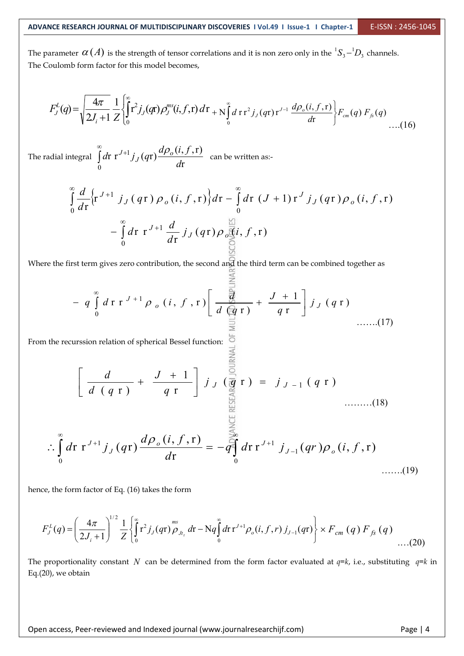The parameter  $\alpha(A)$  is the strength of tensor correlations and it is non zero only in the  ${}^1S_3-{}^1D_3$  channels.  ${}^{1}S_{3} - {}^{1}D_{3}$  channels. The Coulomb form factor for this model becomes,

$$
F_J^L(q) = \sqrt{\frac{4\pi}{2J_i+1}} \frac{1}{Z} \left\{ \int_0^{\infty} r^2 j_J(qr) \rho_J^{ms}(i,f,r) dr + N \int_0^{\infty} d r \, r^2 j_J(qr) r^{J-1} \, \frac{d\rho_o(i,f,r)}{dr} \right\} F_{cm}(q) \, F_{fs}(q) \qquad \qquad \dots (16)
$$

The radial integral  $\int_{0}^{d} d\mathbf{r} \, \mathbf{r}^{3+1} j_{J}(q\mathbf{r}) \frac{1 + \sigma(3) j_{J}(q\mathbf{r})}{d\mathbf{r}}$  can be written as:- $\int r J^{+1} j_J(qr) \frac{d\rho_o(i, f, r)}{dr}$  can be written as:- $\int_0^1$  dr  $\int$  dr  $\int$  dr  $\int$  dr  $\int$  dr  $\int$  dr  $\int$  dr  $\int$  dr  $\int$  dr  $\int$  dr  $\int$  dr  $\int$  dr  $\int$  dr  $\int$  dr  $\int$  dr  $\int$  dr  $\int$  dr  $\int$  dr  $\int$  dr  $\int$  dr  $\int$  dr  $\int$  dr  $\int$  dr  $\int$  dr  $\int$  dr  $\int$  dr  $\int$  dr  $d$ **r**  $r^{J+1}$  $j_J(qr)$  $\frac{d\rho_o(i, f, r)}{dr}$  can be written as:- $J(\mathbf{q})$   $\frac{J}{d\mathbf{r}}$  can be  $\int_{a}^{\infty}$   $d\mathbf{r}$   $J+1$  *i. (cr)*  $d\rho_o(i, f, r)$  are becomitted as  $\int dr \, r^{J+1} j_J(qr) \frac{\omega \mu_0(\nu, y, t)}{dr}$  can be written as:-

$$
\int_{0}^{\infty} \frac{d}{dr} \left\{ r^{J+1} j_J(qr) \rho_o(i, f, r) \right\} dr - \int_{0}^{\infty} dr (J+1) r^{J} j_J(qr) \rho_o(i, f, r) \n- \int_{0}^{\infty} dr r^{J+1} \frac{d}{dr} j_J(qr) \rho_{o} \frac{d}{dt} i, f, r)
$$

Where the first term gives zero contribution, the second and the third term can be combined together as

$$
- q \int_{0}^{\infty} d\mathbf{r} \, \mathbf{r}^{J+1} \rho_{o}(i, f, \mathbf{r}) \left[ \frac{\frac{d\mathbf{r}}{d\mathbf{r}}}{d\left(\frac{d\mathbf{r}}{d\mathbf{r}}\right)} + \frac{J+1}{q\mathbf{r}} \right] j_{J}(q\mathbf{r}) \quad \dots \dots (17)
$$

From the recurssion relation of spherical Bessel function:  $\frac{6}{3}$ <br> $\frac{3}{6}$ 

$$
\left[\frac{d}{d(q \, r)} + \frac{J + 1}{q \, r}\right] j_J \left(\frac{\partial}{\partial q \, r}\right) = j_{J-1}(q \, r) \quad \dots \dots (18)
$$

$$
\therefore \int_{0}^{\infty} d\mathbf{r} \; \mathbf{r}^{J+1} \, j_{J}(q\mathbf{r}) \, \frac{d\rho_{o}(i, f, \mathbf{r})}{d\mathbf{r}} = -q \int_{0}^{\infty} d\mathbf{r} \, \mathbf{r}^{J+1} \, j_{J-1}(qr) \rho_{o}(i, f, \mathbf{r}) \qquad (19)
$$

hence, the form factor of Eq.  $(16)$  takes the form

$$
F_J^L(q) = \left(\frac{4\pi}{2J_i+1}\right)^{1/2} \frac{1}{Z} \left\{\int_0^\infty r^2 j_J(qr) \rho_{Jt_z}^{ms} dr - Nq \int_0^\infty dr \, r^{J+1} \rho_o(i, f, r) \, j_{J-1}(qr) \right\} \times F_{cm}(q) \, F_{fs}(q) \tag{20}
$$

The proportionality constant *N* can be determined from the form factor evaluated at *q=k*, i.e., substituting *q=k* in Eq.(20), we obtain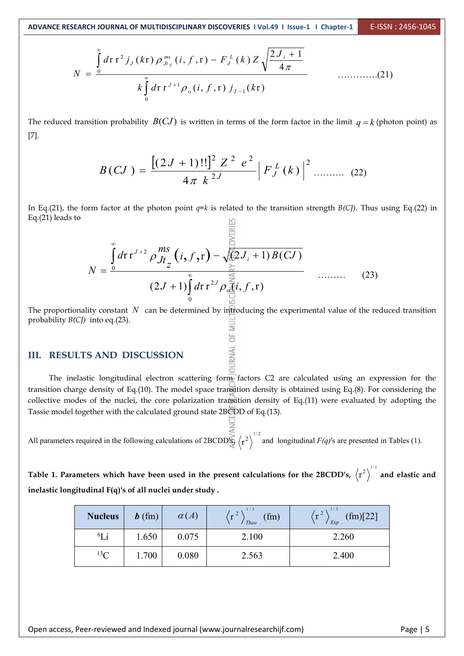$$
N = \frac{\int_{0}^{\infty} d\mathbf{r} \, \mathbf{r}^{2} \, j_{J}(k\mathbf{r}) \, \rho_{Jt_{z}}^{ms}(i, f, \mathbf{r}) - F_{J}^{L}(k) \, Z \sqrt{\frac{2 J_{i} + 1}{4 \pi}}}{k \int_{0}^{\infty} d\mathbf{r} \, \mathbf{r}^{J+1} \rho_{o}(i, f, \mathbf{r}) \, j_{J-1}(k\mathbf{r})}
$$
 (21)

The reduced transition probability  $B(CJ)$  is written in terms of the form factor in the limit  $q = k$  (photon point) as [7].

$$
B(CJ) = \frac{\left[ (2J+1)!! \right]^2 Z^2 e^2}{4\pi k^{2J}} \left| F_J^L(k) \right|^2 \dots \dots \dots \quad (22)
$$

In Eq.(21), the form factor at the photon point  $q=k$  is related to the transition strength  $B(CJ)$ . Thus using Eq.(22) in Eq.(21) leads to S311

$$
N = \frac{\int_{0}^{\infty} d\mathbf{r} \, \mathbf{r}^{J+2} \, \rho \frac{ms}{Jt_z} \left( i, f, \mathbf{r} \right) - \sqrt{\frac{2}{3} J_i + 1} \, B(CJ)} \tag{23}
$$
\n
$$
(2J+1) \int_{0}^{\infty} d\mathbf{r} \, \mathbf{r}^{2J} \rho \frac{\sum_{\substack{0 \le i \le J}}^{\infty} i}{\sum_{\substack{0 \le i \le J}}^{\infty} j} \quad \dots \dots \tag{23}
$$

The proportionality constant *N* can be determined by introducing the experimental value of the reduced transition probability *B(CJ)* into eq.(23).

# **III. RESULTS** AND **DISCUSSION**

The inelastic longitudinal electron scattering form factors C2 are calculated using an expression for the transition charge density of Eq.(10). The model space transition density is obtained using Eq.(8). For considering the collective modes of the nuclei, the core polarization transition density of Eq.(11) were evaluated by adopting the Tassie model together with the calculated ground state 2BCDD of Eq.(13).

All parameters required in the following calculations of 2BCDD<sup>S</sup>S  $\langle r^2 \rangle^{1/2}$  and longitudinal  $F(q)$ 's are presented in Tables (1).

Table 1. Parameters which have been used in the present calculations for the 2BCDD's,  $\langle r^2 \rangle^{1/2}$  and elastic and **inelastic longitudinal F(q)'s of all nuclei under study .**

| <b>Nucleus</b> | $\boldsymbol{b}$ (fm) | $\alpha(A)$ | $\left(r^{2}\right)$<br>(fm)<br>Theo. | $\frac{1}{r^2}$<br>(fm)[22]<br>$Exp$ . |
|----------------|-----------------------|-------------|---------------------------------------|----------------------------------------|
| ${}^6Li$       | 1.650                 | 0.075       | 2.100                                 | 2.260                                  |
| ${}^{13}C$     | 1.700                 | 0.080       | 2.563                                 | 2.400                                  |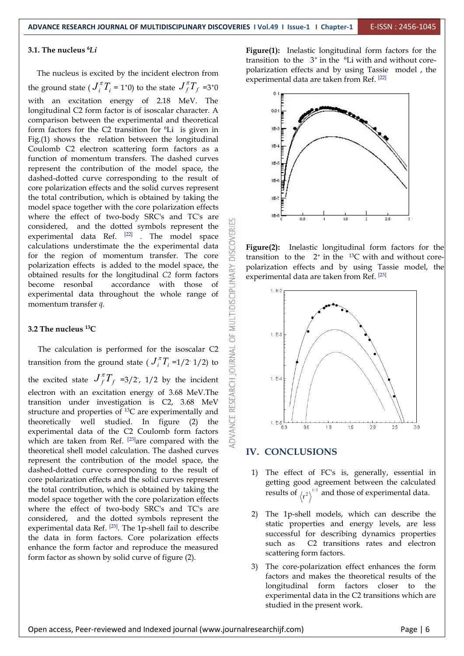#### **3.1. The nucleus <sup>6</sup>***Li*

The nucleus is excited by the incident electron from the ground state  $\left(J_i^{\pi}T_i = 1^+0\right)$  to the state  $J_f^{\pi}T_f = 3^+0$ with an excitation energy of 2.18 MeV. The longitudinal C2 form factor is of isoscalar character. A comparison between the experimental and theoretical form factors for the C2 transition for <sup>6</sup>Li is given in  $153 \rightarrow \bullet$ Fig.(1) shows the relation between the longitudinal Coulomb C2 electron scattering form factors as a function of momentum transfers. The dashed curves represent the contribution of the model space, the dashed-dotted curve corresponding to the result of core polarization effects and the solid curves represent the total contribution, which is obtained by taking the model space together with the core polarization effects where the effect of two-body SRC's and TC's are  $\Box$ considered, and the dotted symbols represent the experimental data Ref.  $^{[22]}$  . The model space calculations understimate the the experimental data for the region of momentum transfer. The core experimental data Ref.  $[22]$  . The model space  $\geq$ calculations understimate the the experimental data for the region of momentum transfer. The core polarization effects is added to the model space, the<br>obtained results for the longitudinal C2 form factors<br>become resonbal accordance with those of<br>experimental data throughout the whole range of<br>momentum transfer q.<br>3.2 obtained results for the longitudinal *C2* form factors become resonbal accordance with those of  $\frac{2}{\pi}$ experimental data throughout the whole range of momentum transfer *q*.

#### **3.2 The nucleus <sup>13</sup>C**

The calculation is performed for the isoscalar C2 nsition from the ground state  $(J_i^{\pi}T_i =1/2 \cdot 1/2)$  to transition from the ground state ( $J_i^{\pi}T_i = 1/2$  1/2) to  $\Xi$ the excited state  $J_f^{\pi}T_f$  =3/2, 1/2 by the incident  $\frac{1}{\sqrt{2}}$ the excited state  $J_f^{\mu}T_f = 3/2$ , 1/2 by the incident<br>electron with an excitation energy of 3.68 MeV.<br>transition under investigation is C2, 3.68 MeV<br>experimentally and transition under investigation is C2, 3.68 MeV structure and properties of <sup>13</sup>C are experimentally and  $\begin{bmatrix} 1 & 1 \\ 1 & 1 \end{bmatrix}$ theoretically well studied. In figure (2) the  $\frac{1}{2}$  1. E.5 experimental data of the C2 Coulomb form factors  $\leq$  00 05 which are taken from Ref.  $^{[23]}$ are compared with the theoretical shell model calculation. The dashed curves represent the contribution of the model space, the dashed-dotted curve corresponding to the result of core polarization effects and the solid curves represent the total contribution, which is obtained by taking the model space together with the core polarization effects where the effect of two-body SRC's and TC's are considered, and the dotted symbols represent the experimental data Ref. <sup>[23]</sup>. The 1p-shell fail to describe **Example 18** Static the data in form factors. Core polarization effects enhance the form factor and reproduce the measured form factor as shown by solid curve of figure (2).

**Figure(1):** Inelastic longitudinal form factors for the transition to the  $3^+$  in the  ${}^6$ Li with and without corepolarization effects and by using Tassie model, the experimental data are taken from Ref. <sup>[22]</sup> and the system of the system of  $\sim$ 



**Figure(2):** Inelastic longitudinal form factors for the transition to the  $2^+$  in the <sup>13</sup>C with and without corepolarization effects and by using Tassie model, the experimental data are taken from Ref. <sup>[23]</sup>



#### **IV. CONCLUSIONS**

- 1) The effect of FC's is, generally, essential in getting good agreement between the calculated results of  $\langle r^2 \rangle^{1/2}$  and those of experimental data.
- 2) The 1p-shell models, which can describe the static properties and energy levels, are less successful for describing dynamics properties C<sub>2</sub> transitions rates and electron scattering form factors.
- 3) The core-polarization effect enhances the form factors and makes the theoretical results of the longitudinal form factors closer to the experimental data in the C2 transitions which are studied in the present work.